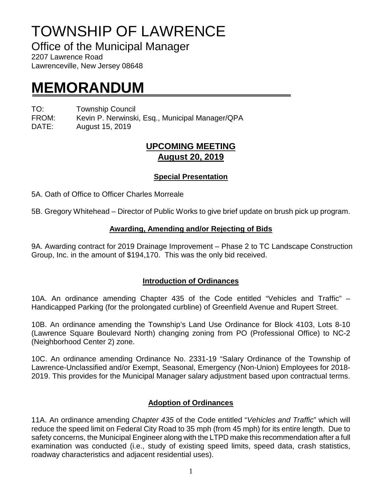# TOWNSHIP OF LAWRENCE

Office of the Municipal Manager

2207 Lawrence Road Lawrenceville, New Jersey 08648

## **MEMORANDUM**

TO: Township Council

FROM: Kevin P. Nerwinski, Esq., Municipal Manager/QPA DATE: August 15, 2019

### **UPCOMING MEETING August 20, 2019**

#### **Special Presentation**

5A. Oath of Office to Officer Charles Morreale

5B. Gregory Whitehead – Director of Public Works to give brief update on brush pick up program.

#### **Awarding, Amending and/or Rejecting of Bids**

9A. Awarding contract for 2019 Drainage Improvement – Phase 2 to TC Landscape Construction Group, Inc. in the amount of \$194,170. This was the only bid received.

#### **Introduction of Ordinances**

10A. An ordinance amending Chapter 435 of the Code entitled "Vehicles and Traffic" – Handicapped Parking (for the prolongated curbline) of Greenfield Avenue and Rupert Street.

10B. An ordinance amending the Township's Land Use Ordinance for Block 4103, Lots 8-10 (Lawrence Square Boulevard North) changing zoning from PO (Professional Office) to NC-2 (Neighborhood Center 2) zone.

10C. An ordinance amending Ordinance No. 2331-19 "Salary Ordinance of the Township of Lawrence-Unclassified and/or Exempt, Seasonal, Emergency (Non-Union) Employees for 2018- 2019. This provides for the Municipal Manager salary adjustment based upon contractual terms.

#### **Adoption of Ordinances**

11A. An ordinance amending *Chapter 435* of the Code entitled "*Vehicles and Traffic*" which will reduce the speed limit on Federal City Road to 35 mph (from 45 mph) for its entire length. Due to safety concerns, the Municipal Engineer along with the LTPD make this recommendation after a full examination was conducted (i.e., study of existing speed limits, speed data, crash statistics, roadway characteristics and adjacent residential uses).